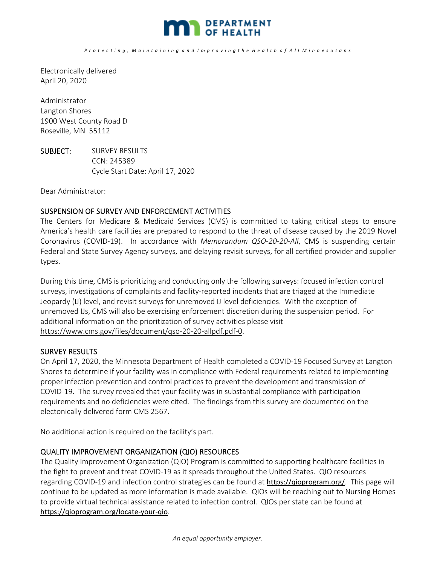

Electronically delivered April 20, 2020

Administrator Langton Shores 1900 West County Road D Roseville, MN 55112

SUBJECT: SURVEY RESULTS CCN: 245389 Cycle Start Date: April 17, 2020

Dear Administrator:

## SUSPENSION OF SURVEY AND ENFORCEMENT ACTIVITIES

The Centers for Medicare & Medicaid Services (CMS) is committed to taking critical steps to ensure America's health care facilities are prepared to respond to the threat of disease caused by the 2019 Novel Coronavirus (COVID‐19). In accordance with *Memorandum QSO‐20‐20‐All*, CMS is suspending certain Federal and State Survey Agency surveys, and delaying revisit surveys, for all certified provider and supplier types.

During this time, CMS is prioritizing and conducting only the following surveys: focused infection control surveys, investigations of complaints and facility-reported incidents that are triaged at the Immediate Jeopardy (IJ) level, and revisit surveys for unremoved IJ level deficiencies. With the exception of unremoved IJs, CMS will also be exercising enforcement discretion during the suspension period. For additional information on the prioritization of survey activities please visit https://www.cms.gov/files/document/qso‐20‐20‐allpdf.pdf‐0.

## SURVEY RESULTS

On April 17, 2020, the Minnesota Department of Health completed a COVID‐19 Focused Survey at Langton Shores to determine if your facility was in compliance with Federal requirements related to implementing proper infection prevention and control practices to prevent the development and transmission of COVID‐19. The survey revealed that your facility was in substantial compliance with participation requirements and no deficiencies were cited. The findings from this survey are documented on the electonically delivered form CMS 2567.

No additional action is required on the facility's part.

## QUALITY IMPROVEMENT ORGANIZATION (QIO) RESOURCES

The Quality Improvement Organization (QIO) Program is committed to supporting healthcare facilities in the fight to prevent and treat COVID‐19 as it spreads throughout the United States. QIO resources regarding COVID‐19 and infection control strategies can be found at https://qioprogram.org/. This page will continue to be updated as more information is made available. QIOs will be reaching out to Nursing Homes to provide virtual technical assistance related to infection control. QIOs per state can be found at https://qioprogram.org/locate‐your‐qio.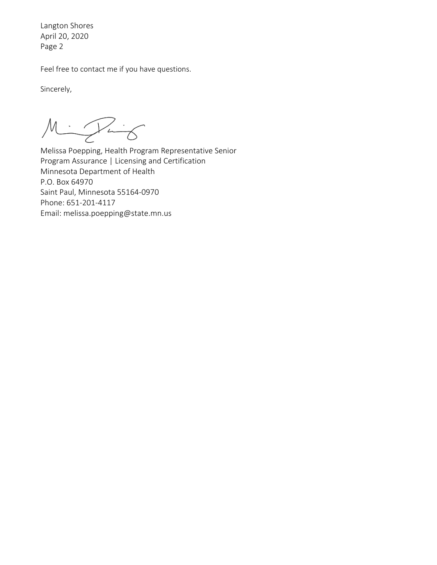Langton Shores April 20, 2020 Page 2

Feel free to contact me if you have questions.

Sincerely,

 $M = \sqrt{1 - 6}$ 

Melissa Poepping, Health Program Representative Senior Program Assurance | Licensing and Certification Minnesota Department of Health P.O. Box 64970 Saint Paul, Minnesota 55164‐0970 Phone: 651‐201‐4117 Email: melissa.poepping@state.mn.us